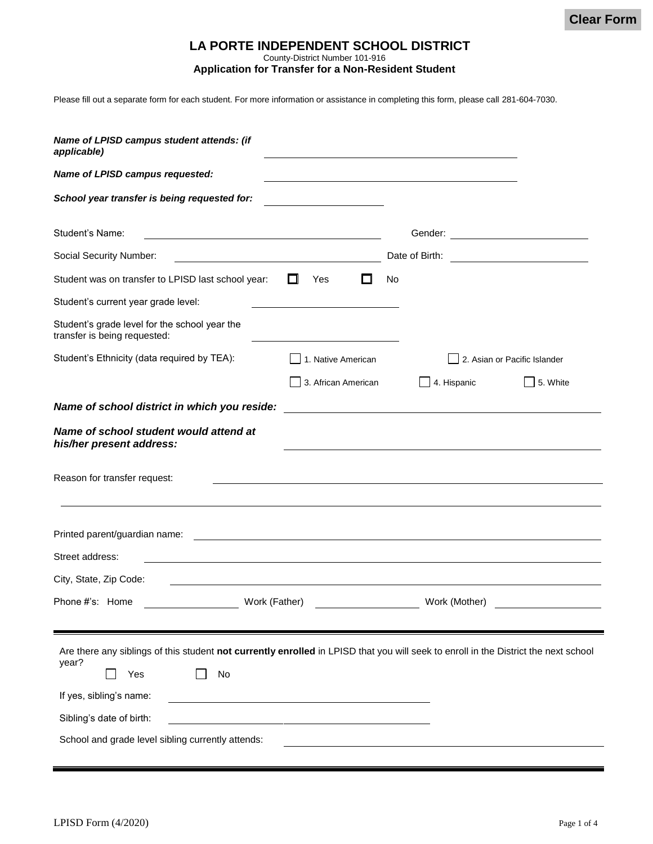# **LA PORTE INDEPENDENT SCHOOL DISTRICT**

County-District Number 101-916

**Application for Transfer for a Non-Resident Student**

Please fill out a separate form for each student. For more information or assistance in completing this form, please call 281-604-7030.

| Name of LPISD campus student attends: (if<br>applicable)                                                                                                                                                                                                              |                                               |
|-----------------------------------------------------------------------------------------------------------------------------------------------------------------------------------------------------------------------------------------------------------------------|-----------------------------------------------|
| Name of LPISD campus requested:                                                                                                                                                                                                                                       |                                               |
| School year transfer is being requested for:                                                                                                                                                                                                                          |                                               |
| Student's Name:                                                                                                                                                                                                                                                       |                                               |
| Social Security Number:                                                                                                                                                                                                                                               |                                               |
| Student was on transfer to LPISD last school year:<br>ш<br>Yes<br>I I                                                                                                                                                                                                 | No                                            |
| Student's current year grade level:                                                                                                                                                                                                                                   |                                               |
| Student's grade level for the school year the<br>transfer is being requested:                                                                                                                                                                                         |                                               |
| Student's Ethnicity (data required by TEA):<br>1. Native American                                                                                                                                                                                                     | 2. Asian or Pacific Islander                  |
| 3. African American                                                                                                                                                                                                                                                   | $\Box$ 4. Hispanic<br>5. White                |
| Name of school district in which you reside:                                                                                                                                                                                                                          | <u> 1980 - Andrea Andrew Maria (h. 1980).</u> |
| Name of school student would attend at<br>his/her present address:<br>Reason for transfer request:                                                                                                                                                                    |                                               |
| Printed parent/guardian name:<br><u> 1989 - Johann John Stein, markin film yn y brening yn y brening yn y brening yn y brening y brening yn y breni</u>                                                                                                               |                                               |
| Street address:                                                                                                                                                                                                                                                       |                                               |
| City, State, Zip Code:                                                                                                                                                                                                                                                |                                               |
| Phone #'s: Home<br>Work (Father)                                                                                                                                                                                                                                      | Work (Mother)                                 |
| Are there any siblings of this student not currently enrolled in LPISD that you will seek to enroll in the District the next school<br>year?<br>No<br>Yes<br>If yes, sibling's name:<br>Sibling's date of birth:<br>School and grade level sibling currently attends: |                                               |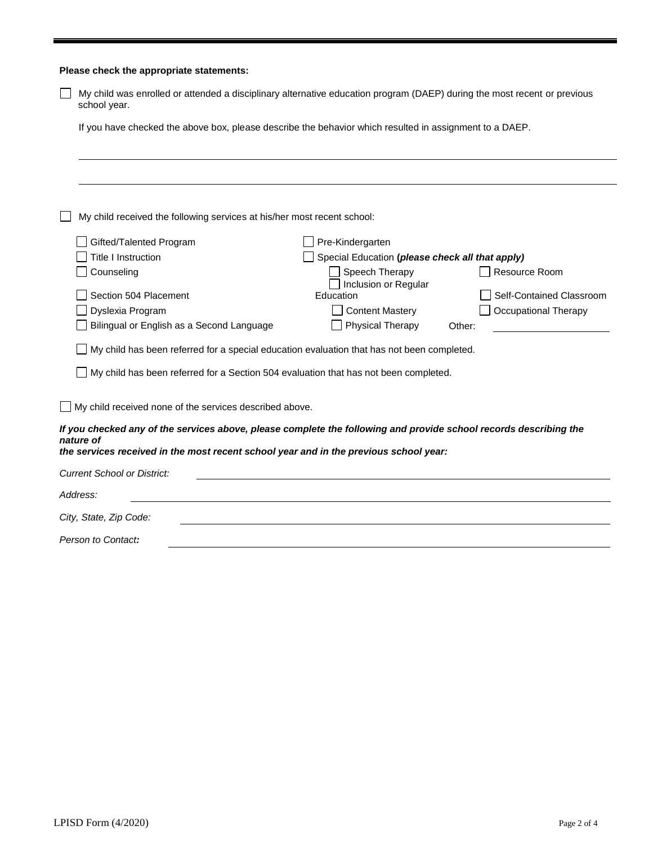|                                                                                            | Please check the appropriate statements:                                                                                                 |                                                                                                                   |  |  |  |  |
|--------------------------------------------------------------------------------------------|------------------------------------------------------------------------------------------------------------------------------------------|-------------------------------------------------------------------------------------------------------------------|--|--|--|--|
|                                                                                            | My child was enrolled or attended a disciplinary alternative education program (DAEP) during the most recent or previous<br>school year. |                                                                                                                   |  |  |  |  |
|                                                                                            | If you have checked the above box, please describe the behavior which resulted in assignment to a DAEP.                                  |                                                                                                                   |  |  |  |  |
|                                                                                            |                                                                                                                                          |                                                                                                                   |  |  |  |  |
|                                                                                            |                                                                                                                                          |                                                                                                                   |  |  |  |  |
| My child received the following services at his/her most recent school:                    |                                                                                                                                          |                                                                                                                   |  |  |  |  |
|                                                                                            | Gifted/Talented Program                                                                                                                  | Pre-Kindergarten                                                                                                  |  |  |  |  |
|                                                                                            | <b>Title I Instruction</b>                                                                                                               | Special Education (please check all that apply)                                                                   |  |  |  |  |
|                                                                                            | Counseling                                                                                                                               | Speech Therapy<br>Resource Room                                                                                   |  |  |  |  |
|                                                                                            | Section 504 Placement                                                                                                                    | Inclusion or Regular<br>Education<br>Self-Contained Classroom                                                     |  |  |  |  |
|                                                                                            | Dyslexia Program                                                                                                                         | <b>Content Mastery</b><br>Occupational Therapy                                                                    |  |  |  |  |
|                                                                                            | Bilingual or English as a Second Language                                                                                                | Physical Therapy<br>Other:                                                                                        |  |  |  |  |
|                                                                                            |                                                                                                                                          |                                                                                                                   |  |  |  |  |
| My child has been referred for a special education evaluation that has not been completed. |                                                                                                                                          |                                                                                                                   |  |  |  |  |
| My child has been referred for a Section 504 evaluation that has not been completed.       |                                                                                                                                          |                                                                                                                   |  |  |  |  |
|                                                                                            | My child received none of the services described above.                                                                                  |                                                                                                                   |  |  |  |  |
|                                                                                            | nature of                                                                                                                                | If you checked any of the services above, please complete the following and provide school records describing the |  |  |  |  |
|                                                                                            | the services received in the most recent school year and in the previous school year:                                                    |                                                                                                                   |  |  |  |  |
|                                                                                            | <b>Current School or District:</b>                                                                                                       |                                                                                                                   |  |  |  |  |
|                                                                                            | Address:                                                                                                                                 |                                                                                                                   |  |  |  |  |
|                                                                                            | City, State, Zip Code:                                                                                                                   |                                                                                                                   |  |  |  |  |
|                                                                                            | Person to Contact:                                                                                                                       |                                                                                                                   |  |  |  |  |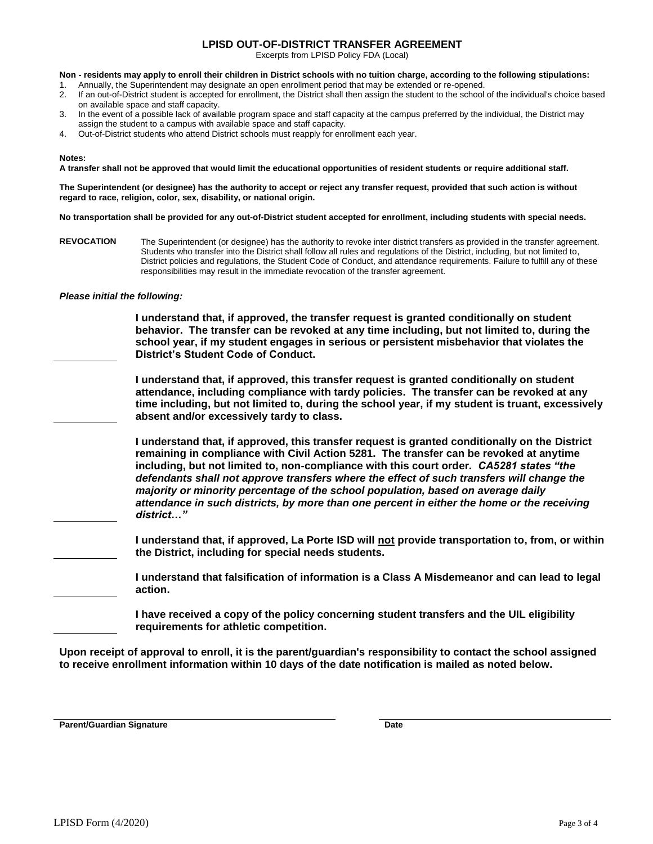### **LPISD OUT-OF-DISTRICT TRANSFER AGREEMENT**

Excerpts from LPISD Policy FDA (Local)

**Non - residents may apply to enroll their children in District schools with no tuition charge, according to the following stipulations:**

- 1. Annually, the Superintendent may designate an open enrollment period that may be extended or re-opened. 2. If an out-of-District student is accepted for enrollment, the District shall then assign the student to the school of the individual's choice based
- on available space and staff capacity. 3. In the event of a possible lack of available program space and staff capacity at the campus preferred by the individual, the District may
- assign the student to a campus with available space and staff capacity.
- 4. Out-of-District students who attend District schools must reapply for enrollment each year.

#### **Notes:**

**A transfer shall not be approved that would limit the educational opportunities of resident students or require additional staff.**

**The Superintendent (or designee) has the authority to accept or reject any transfer request, provided that such action is without regard to race, religion, color, sex, disability, or national origin.**

**No transportation shall be provided for any out-of-District student accepted for enrollment, including students with special needs.**

**REVOCATION** The Superintendent (or designee) has the authority to revoke inter district transfers as provided in the transfer agreement. Students who transfer into the District shall follow all rules and regulations of the District, including, but not limited to, District policies and regulations, the Student Code of Conduct, and attendance requirements. Failure to fulfill any of these responsibilities may result in the immediate revocation of the transfer agreement.

### *Please initial the following:*

**I understand that, if approved, the transfer request is granted conditionally on student behavior. The transfer can be revoked at any time including, but not limited to, during the school year, if my student engages in serious or persistent misbehavior that violates the District's Student Code of Conduct.**

**I understand that, if approved, this transfer request is granted conditionally on student attendance, including compliance with tardy policies. The transfer can be revoked at any time including, but not limited to, during the school year, if my student is truant, excessively absent and/or excessively tardy to class.**

**I understand that, if approved, this transfer request is granted conditionally on the District remaining in compliance with Civil Action 5281. The transfer can be revoked at anytime including, but not limited to, non-compliance with this court order.** *CA5281 states "the defendants shall not approve transfers where the effect of such transfers will change the majority or minority percentage of the school population, based on average daily attendance in such districts, by more than one percent in either the home or the receiving district…"*

**I understand that, if approved, La Porte ISD will not provide transportation to, from, or within the District, including for special needs students.** 

**I understand that falsification of information is a Class A Misdemeanor and can lead to legal action.**

**I have received a copy of the policy concerning student transfers and the UIL eligibility requirements for athletic competition.** 

**Upon receipt of approval to enroll, it is the parent/guardian's responsibility to contact the school assigned to receive enrollment information within 10 days of the date notification is mailed as noted below.**

**Parent/Guardian Signature Date**